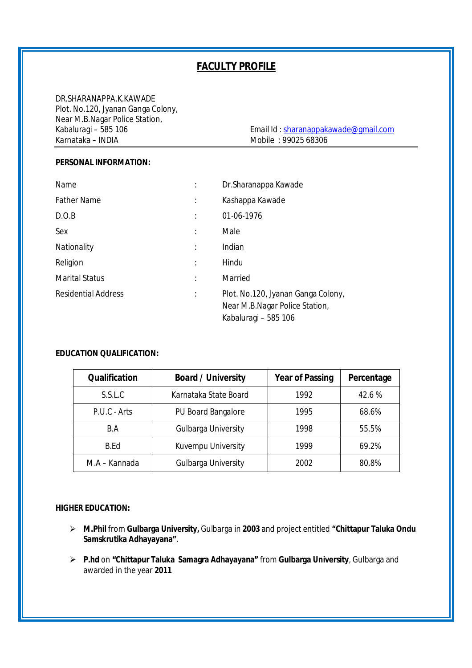# **FACULTY PROFILE**

DR.SHARANAPPA.K.KAWADE Plot. No.120, Jyanan Ganga Colony, Near M.B.Nagar Police Station,<br>Kabaluragi – 585 106

Kabaluragi – 585 106 Email Id : sharanappakawade@gmail.com Mobile : 99025 68306

### **PERSONAL INFORMATION:**

| Name                       |   | Dr.Sharanappa Kawade                                                                         |
|----------------------------|---|----------------------------------------------------------------------------------------------|
| <b>Father Name</b>         | ÷ | Kashappa Kawade                                                                              |
| D.O.B                      | İ | 01-06-1976                                                                                   |
| Sex                        | İ | Male                                                                                         |
| Nationality                | İ | Indian                                                                                       |
| Religion                   | ÷ | Hindu                                                                                        |
| <b>Marital Status</b>      |   | Married                                                                                      |
| <b>Residential Address</b> | ÷ | Plot. No.120, Jyanan Ganga Colony,<br>Near M.B.Nagar Police Station,<br>Kabaluragi - 585 106 |

#### **EDUCATION QUALIFICATION:**

| <b>Qualification</b> | <b>Board / University</b>  | <b>Year of Passing</b> | Percentage |  |
|----------------------|----------------------------|------------------------|------------|--|
| S.S.L.C              | Karnataka State Board      | 1992                   | 42.6 %     |  |
| P.U.C - Arts         | <b>PU Board Bangalore</b>  | 1995                   | 68.6%      |  |
| B.A                  | <b>Gulbarga University</b> | 1998                   | 55.5%      |  |
| B.Fd                 | Kuvempu University         | 1999                   | 69.2%      |  |
| M.A – Kannada        | <b>Gulbarga University</b> | 2002                   | 80.8%      |  |

#### **HIGHER EDUCATION:**

- **M.Phil** from **Gulbarga University,** Gulbarga in **2003** and project entitled **"Chittapur Taluka Ondu Samskrutika Adhayayana"**.
- **P.hd** on **"Chittapur Taluka Samagra Adhayayana"** from **Gulbarga University**, Gulbarga and awarded in the year **2011**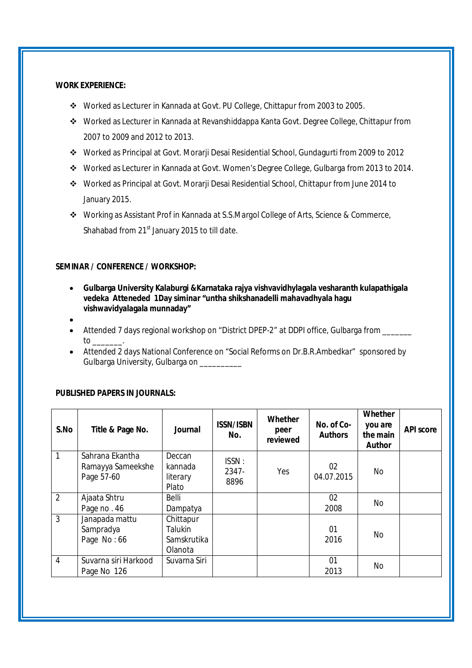#### **WORK EXPERIENCE:**

- Worked as Lecturer in Kannada at Govt. PU College, Chittapur from 2003 to 2005.
- Worked as Lecturer in Kannada at Revanshiddappa Kanta Govt. Degree College, Chittapur from 2007 to 2009 and 2012 to 2013.
- Worked as Principal at Govt. Morarji Desai Residential School, Gundagurti from 2009 to 2012
- Worked as Lecturer in Kannada at Govt. Women's Degree College, Gulbarga from 2013 to 2014.
- Worked as Principal at Govt. Morarji Desai Residential School, Chittapur from June 2014 to January 2015.
- Working as Assistant Prof in Kannada at S.S.Margol College of Arts, Science & Commerce, Shahabad from 21<sup>st</sup> January 2015 to till date.

#### **SEMINAR / CONFERENCE / WORKSHOP:**

- **Gulbarga University Kalaburgi &Karnataka rajya vishvavidhylagala vesharanth kulapathigala vedeka Atteneded 1Day siminar "untha shikshanadelli mahavadhyala hagu vishwavidyalagala munnaday"**
- $\bullet$
- Attended 7 days regional workshop on "District DPEP-2" at DDPI office, Gulbarga from to \_\_\_\_\_\_\_.
- Attended 2 days National Conference on "Social Reforms on Dr.B.R.Ambedkar" sponsored by Gulbarga University, Gulbarga on

#### **PUBLISHED PAPERS IN JOURNALS:**

| S.No           | Title & Page No.                                   | <b>Journal</b>                                 | <b>ISSN/ISBN</b><br>No. | Whether<br>peer<br>reviewed | No. of Co-<br><b>Authors</b> | Whether<br>you are<br>the main<br><b>Author</b> | <b>API score</b> |
|----------------|----------------------------------------------------|------------------------------------------------|-------------------------|-----------------------------|------------------------------|-------------------------------------------------|------------------|
| 1              | Sahrana Ekantha<br>Ramayya Sameekshe<br>Page 57-60 | Deccan<br>kannada<br>literary<br>Plato         | ISSN:<br>2347-<br>8896  | Yes                         | 02<br>04.07.2015             | No                                              |                  |
| $\overline{2}$ | Ajaata Shtru<br>Page no. 46                        | Belli<br>Dampatya                              |                         |                             | 02<br>2008                   | No                                              |                  |
| 3              | Janapada mattu<br>Sampradya<br>Page No: 66         | Chittapur<br>Talukin<br>Samskrutika<br>Olanota |                         |                             | 01<br>2016                   | No                                              |                  |
| $\overline{4}$ | Suvarna siri Harkood<br>Page No 126                | Suvarna Siri                                   |                         |                             | 01<br>2013                   | No                                              |                  |